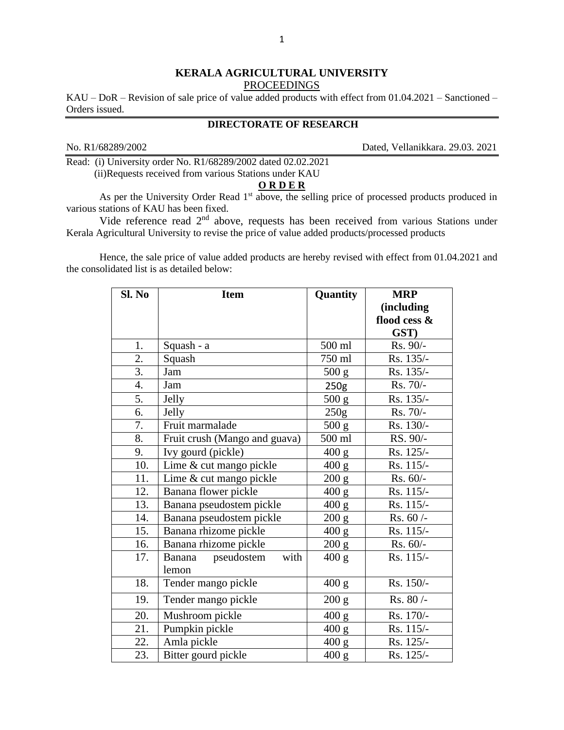## **KERALA AGRICULTURAL UNIVERSITY** PROCEEDINGS

KAU – DoR – Revision of sale price of value added products with effect from 01.04.2021 – Sanctioned – Orders issued.

## **DIRECTORATE OF RESEARCH**

No. R1/68289/2002 Dated, Vellanikkara. 29.03. 2021

Read: (i) University order No. R1/68289/2002 dated 02.02.2021 (ii)Requests received from various Stations under KAU

## **O R D E R**

As per the University Order Read 1<sup>st</sup> above, the selling price of processed products produced in various stations of KAU has been fixed.

Vide reference read 2<sup>nd</sup> above, requests has been received from various Stations under Kerala Agricultural University to revise the price of value added products/processed products

Hence, the sale price of value added products are hereby revised with effect from 01.04.2021 and the consolidated list is as detailed below:

| Sl. No | <b>Item</b>                   | Quantity         | <b>MRP</b>   |
|--------|-------------------------------|------------------|--------------|
|        |                               |                  | (including   |
|        |                               |                  | flood cess & |
|        |                               |                  | GST)         |
| 1.     | Squash - a                    | 500 ml           | Rs. 90/-     |
| 2.     | Squash                        | 750 ml           | Rs. 135/-    |
| 3.     | Jam                           | 500 g            | Rs. 135/-    |
| 4.     | Jam                           | 250 <sub>g</sub> | Rs. 70/-     |
| 5.     | Jelly                         | 500 g            | Rs. 135/-    |
| 6.     | Jelly                         | 250g             | Rs. 70/-     |
| 7.     | Fruit marmalade               | 500 g            | Rs. 130/-    |
| 8.     | Fruit crush (Mango and guava) | 500 ml           | RS. 90/-     |
| 9.     | Ivy gourd (pickle)            | 400 g            | Rs. 125/-    |
| 10.    | Lime & cut mango pickle       | 400 g            | Rs. 115/-    |
| 11.    | Lime & cut mango pickle       | 200 g            | Rs. 60/-     |
| 12.    | Banana flower pickle          | 400 g            | Rs. 115/-    |
| 13.    | Banana pseudostem pickle      | 400 g            | Rs. 115/-    |
| 14.    | Banana pseudostem pickle      | 200 g            | $Rs. 60/-$   |
| 15.    | Banana rhizome pickle         | 400 g            | Rs. 115/-    |
| 16.    | Banana rhizome pickle         | 200 g            | $Rs. 60/-$   |
| 17.    | with<br>pseudostem<br>Banana  | 400 g            | Rs. 115/-    |
|        | lemon                         |                  |              |
| 18.    | Tender mango pickle           | 400 g            | Rs. 150/-    |
| 19.    | Tender mango pickle           | 200 g            | Rs. 80/-     |
| 20.    | Mushroom pickle               | 400 g            | Rs. 170/-    |
| 21.    | Pumpkin pickle                | 400 g            | Rs. 115/-    |
| 22.    | Amla pickle                   | 400 g            | Rs. 125/-    |
| 23.    | Bitter gourd pickle           | 400 g            | Rs. 125/-    |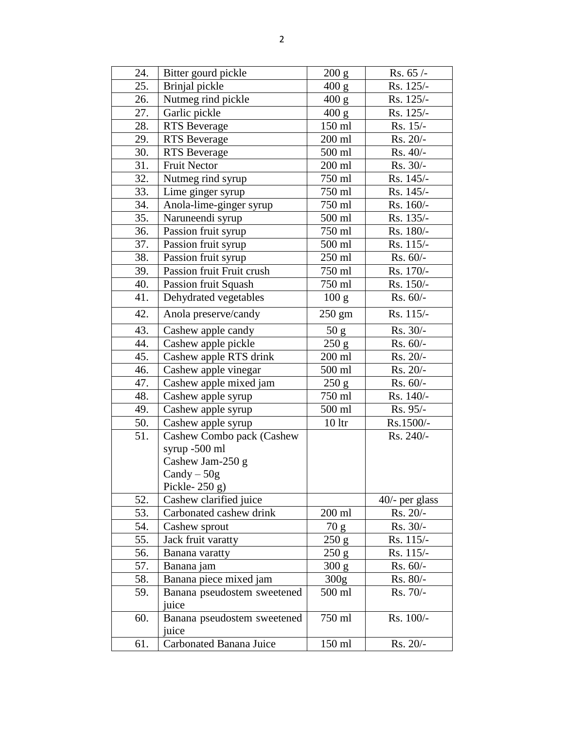| 24. | Bitter gourd pickle                                                                                 | 200 g            | Rs. 65 /-        |
|-----|-----------------------------------------------------------------------------------------------------|------------------|------------------|
| 25. | Brinjal pickle                                                                                      | 400 g            | Rs. 125/-        |
| 26. | Nutmeg rind pickle                                                                                  | 400 g            | Rs. 125/-        |
| 27. | Garlic pickle                                                                                       | 400 g            | Rs. 125/-        |
| 28. | <b>RTS</b> Beverage                                                                                 | 150 ml           | Rs. 15/-         |
| 29. | <b>RTS</b> Beverage                                                                                 | 200 ml           | Rs. 20/-         |
| 30. | <b>RTS</b> Beverage                                                                                 | 500 ml           | Rs. 40/-         |
| 31. | <b>Fruit Nector</b>                                                                                 | 200 ml           | Rs. 30/-         |
| 32. | Nutmeg rind syrup                                                                                   | 750 ml           | Rs. 145/-        |
| 33. | Lime ginger syrup                                                                                   | 750 ml           | Rs. 145/-        |
| 34. | Anola-lime-ginger syrup                                                                             | 750 ml           | Rs. 160/-        |
| 35. | Naruneendi syrup                                                                                    | 500 ml           | Rs. 135/-        |
| 36. | Passion fruit syrup                                                                                 | 750 ml           | Rs. 180/-        |
| 37. | Passion fruit syrup                                                                                 | 500 ml           | Rs. 115/-        |
| 38. | Passion fruit syrup                                                                                 | 250 ml           | Rs. 60/-         |
| 39. | Passion fruit Fruit crush                                                                           | 750 ml           | Rs. 170/-        |
| 40. | Passion fruit Squash                                                                                | 750 ml           | Rs. 150/-        |
| 41. | Dehydrated vegetables                                                                               | 100 g            | Rs. 60/-         |
| 42. | Anola preserve/candy                                                                                | $250 \text{ gm}$ | Rs. 115/-        |
| 43. | Cashew apple candy                                                                                  | 50 g             | Rs. 30/-         |
| 44. | Cashew apple pickle                                                                                 | 250 g            | Rs. 60/-         |
| 45. | Cashew apple RTS drink                                                                              | $200$ ml         | Rs. 20/-         |
| 46. | Cashew apple vinegar                                                                                | 500 ml           | Rs. 20/-         |
| 47. | Cashew apple mixed jam                                                                              | 250 g            | Rs. 60/-         |
| 48. | Cashew apple syrup                                                                                  | 750 ml           | Rs. 140/-        |
| 49. | Cashew apple syrup                                                                                  | 500 ml           | Rs. 95/-         |
| 50. | Cashew apple syrup                                                                                  | 10 <sup>1</sup>  | Rs.1500/-        |
| 51. | Cashew Combo pack (Cashew<br>syrup -500 ml<br>Cashew Jam-250 g<br>$Candy - 50g$<br>Pickle- $250$ g) |                  | Rs. 240/-        |
| 52. | Cashew clarified juice                                                                              |                  | $40/-$ per glass |
| 53. | Carbonated cashew drink                                                                             | $200$ ml         | Rs. 20/-         |
| 54. | Cashew sprout                                                                                       | 70 g             | Rs. 30/-         |
| 55. | Jack fruit varatty                                                                                  | 250 g            | Rs. 115/-        |
| 56. | Banana varatty                                                                                      | 250 g            | Rs. 115/-        |
| 57. | Banana jam                                                                                          | 300 g            | $Rs. 60/-$       |
| 58. | Banana piece mixed jam                                                                              | 300g             | Rs. 80/-         |
| 59. | Banana pseudostem sweetened<br>juice                                                                | 500 ml           | Rs. 70/-         |
| 60. | Banana pseudostem sweetened<br>juice                                                                | 750 ml           | Rs. 100/-        |
| 61. | Carbonated Banana Juice                                                                             | 150 ml           | Rs. 20/-         |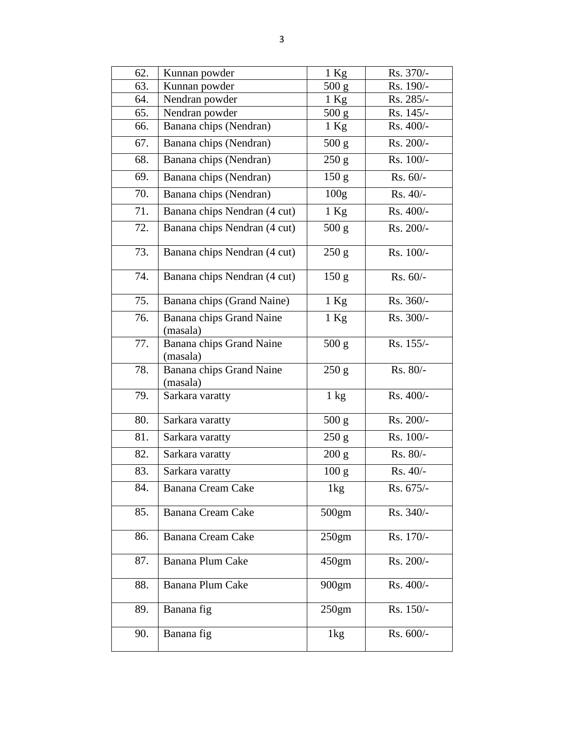| 62. | Kunnan powder                        | $1$ Kg           | Rs. 370/-  |
|-----|--------------------------------------|------------------|------------|
| 63. | Kunnan powder                        | 500 g            | Rs. 190/-  |
| 64. | Nendran powder                       | $1$ Kg           | Rs. 285/-  |
| 65. | Nendran powder                       | 500 g            | Rs. 145/-  |
| 66. | Banana chips (Nendran)               | $1$ Kg           | Rs. 400/-  |
| 67. | Banana chips (Nendran)               | 500 g            | Rs. 200/-  |
| 68. | Banana chips (Nendran)               | 250 g            | Rs. 100/-  |
| 69. | Banana chips (Nendran)               | 150 <sub>g</sub> | $Rs. 60/-$ |
| 70. | Banana chips (Nendran)               | 100 <sub>g</sub> | $Rs. 40/-$ |
| 71. | Banana chips Nendran (4 cut)         | $1$ Kg           | Rs. 400/-  |
| 72. | Banana chips Nendran (4 cut)         | 500 g            | Rs. 200/-  |
| 73. | Banana chips Nendran (4 cut)         | 250 g            | Rs. 100/-  |
| 74. | Banana chips Nendran (4 cut)         | 150 <sub>g</sub> | $Rs. 60/-$ |
| 75. | Banana chips (Grand Naine)           | $1$ Kg           | Rs. 360/-  |
| 76. | Banana chips Grand Naine<br>(masala) | 1 Kg             | Rs. 300/-  |
| 77. | Banana chips Grand Naine<br>(masala) | 500 g            | Rs. 155/-  |
| 78. | Banana chips Grand Naine<br>(masala) | 250 g            | Rs. 80/-   |
| 79. | Sarkara varatty                      | $1 \text{ kg}$   | Rs. 400/-  |
| 80. | Sarkara varatty                      | 500 g            | Rs. 200/-  |
| 81. | Sarkara varatty                      | 250 g            | Rs. 100/-  |
| 82. | Sarkara varatty                      | 200 g            | Rs. 80/-   |
| 83. | Sarkara varatty                      | 100 <sub>g</sub> | Rs. 40/-   |
| 84. | Banana Cream Cake                    | 1 <sub>kg</sub>  | Rs. 675/-  |
| 85. | Banana Cream Cake                    | 500gm            | Rs. 340/-  |
| 86. | Banana Cream Cake                    | 250gm            | Rs. 170/-  |
| 87. | Banana Plum Cake                     | 450gm            | Rs. 200/-  |
| 88. | Banana Plum Cake                     | 900gm            | Rs. 400/-  |
| 89. | Banana fig                           | 250gm            | Rs. 150/-  |
| 90. | Banana fig                           | 1kg              | Rs. 600/-  |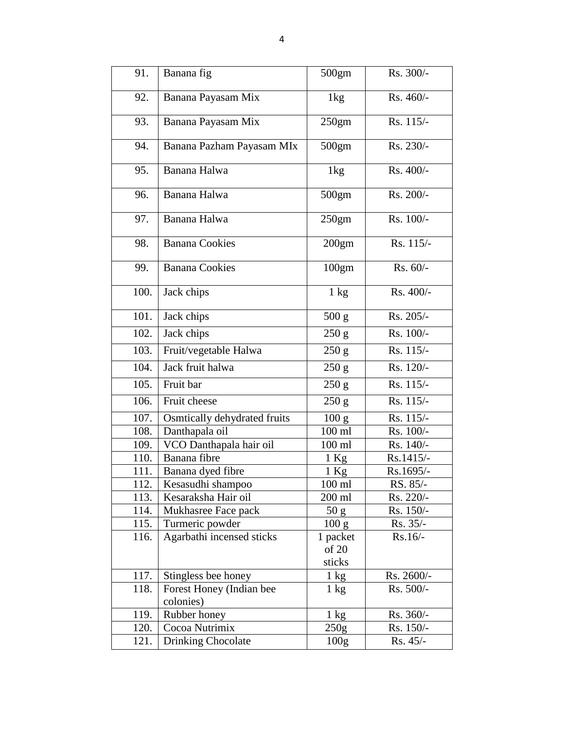| 91.  | Banana fig                   | 500gm            | Rs. 300/-               |
|------|------------------------------|------------------|-------------------------|
|      |                              |                  |                         |
| 92.  | Banana Payasam Mix           | 1 <sub>kg</sub>  | Rs. 460/-               |
| 93.  | Banana Payasam Mix           | 250gm            | Rs. 115/-               |
| 94.  | Banana Pazham Payasam MIx    | 500gm            | Rs. 230/-               |
| 95.  | Banana Halwa                 | 1 <sub>kg</sub>  | Rs. 400/-               |
|      |                              |                  |                         |
| 96.  | Banana Halwa                 | 500gm            | Rs. 200/-               |
| 97.  | Banana Halwa                 | 250gm            | Rs. 100/-               |
| 98.  | <b>Banana Cookies</b>        | 200gm            | Rs. 115/-               |
| 99.  | <b>Banana Cookies</b>        | 100gm            | $Rs. 60/-$              |
| 100. | Jack chips                   | $1 \text{ kg}$   | Rs. 400/-               |
| 101. | Jack chips                   | 500 g            | Rs. 205/-               |
| 102. | Jack chips                   | 250 g            | Rs. 100/-               |
| 103. | Fruit/vegetable Halwa        | 250 g            | Rs. 115/-               |
| 104. | Jack fruit halwa             | 250 g            | Rs. 120/-               |
| 105. | Fruit bar                    | 250 g            | Rs. 115/-               |
| 106. | Fruit cheese                 | 250 g            | $\overline{R}$ s. 115/- |
| 107. | Osmtically dehydrated fruits | 100 g            | Rs. 115/-               |
| 108. | Danthapala oil               | $100$ ml         | Rs. 100/-               |
| 109. | VCO Danthapala hair oil      | $100$ ml         | Rs. 140/-               |
| 110. | Banana fibre                 | 1 Kg             | Rs.1415/-               |
| 111. | Banana dyed fibre            | 1 Kg             | Rs.1695/-               |
| 112. | Kesasudhi shampoo            | $100$ ml         | RS. 85/-                |
| 113. | Kesaraksha Hair oil          | 200 ml           | Rs. 220/-               |
| 114. | Mukhasree Face pack          | 50 g             | $Rs. 150/-$             |
| 115. | Turmeric powder              | 100 g            | Rs. 35/-                |
| 116. | Agarbathi incensed sticks    | 1 packet         | $Rs.16/-$               |
|      |                              | of 20            |                         |
|      |                              | sticks           |                         |
| 117. | Stingless bee honey          | $1 \text{ kg}$   | Rs. 2600/-              |
| 118. | Forest Honey (Indian bee     | $1 \text{ kg}$   | Rs. 500/-               |
|      | colonies)                    |                  |                         |
| 119. | Rubber honey                 | $1 \text{ kg}$   | Rs. 360/-               |
| 120. | Cocoa Nutrimix               | 250g             | $Rs. 150/-$             |
| 121. | Drinking Chocolate           | 100 <sub>g</sub> | Rs. 45/-                |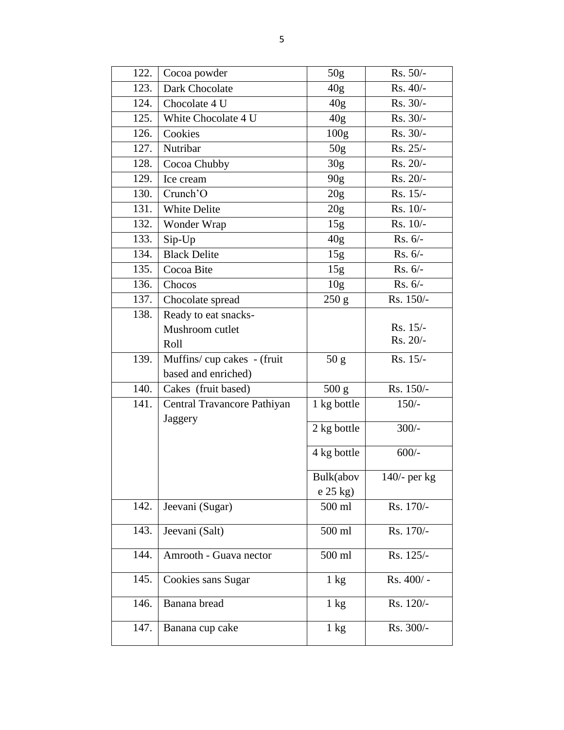| 122. | Cocoa powder                           | 50g                | Rs. 50/-     |
|------|----------------------------------------|--------------------|--------------|
| 123. | Dark Chocolate                         | 40g                | Rs. 40/-     |
| 124. | Chocolate 4 U                          | 40g                | Rs. 30/-     |
| 125. | White Chocolate 4 U                    | 40 <sub>g</sub>    | $Rs. 30/-$   |
| 126. | Cookies                                | 100 <sub>g</sub>   | $Rs. 30/-$   |
| 127. | Nutribar                               | 50g                | Rs. 25/-     |
| 128. | Cocoa Chubby                           | 30g                | Rs. 20/-     |
| 129. | Ice cream                              | 90g                | Rs. 20/-     |
| 130. | Crunch'O                               | 20 <sub>g</sub>    | Rs. 15/-     |
| 131. | White Delite                           | 20g                | $Rs. 10/-$   |
| 132. | Wonder Wrap                            | 15g                | Rs. 10/-     |
| 133. | Sip-Up                                 | 40 <sub>g</sub>    | $Rs. 6/-$    |
| 134. | <b>Black Delite</b>                    | 15g                | $Rs. 6/-$    |
| 135. | Cocoa Bite                             | 15g                | $Rs. 6/-$    |
| 136. | Chocos                                 | 10 <sub>g</sub>    | Rs. 6/-      |
| 137. | Chocolate spread                       | 250 g              | Rs. 150/-    |
| 138. | Ready to eat snacks-                   |                    |              |
|      | Mushroom cutlet                        |                    | Rs. 15/-     |
|      | Roll                                   |                    | Rs. 20/-     |
| 139. | Muffins/cup cakes - (fruit             | 50 g               | Rs. 15/-     |
|      | based and enriched)                    |                    |              |
| 140. | Cakes (fruit based)                    | 500 g              | Rs. 150/-    |
| 141. | Central Travancore Pathiyan<br>Jaggery | 1 kg bottle        | $150/-$      |
|      |                                        | 2 kg bottle        | $300/-$      |
|      |                                        | 4 kg bottle        | $600/-$      |
|      |                                        | Bulk(abov          | 140/- per kg |
|      |                                        | e 25 kg)           |              |
| 142. | Jeevani (Sugar)                        | 500 ml             | Rs. 170/-    |
| 143. | Jeevani (Salt)                         | 500 ml             | Rs. 170/-    |
| 144. | Amrooth - Guava nector                 | $500 \mathrm{~ml}$ | Rs. 125/-    |
| 145. | Cookies sans Sugar                     | $1 \text{ kg}$     | Rs. 400/-    |
| 146. | Banana bread                           | $1 \text{ kg}$     | Rs. 120/-    |
| 147. | Banana cup cake                        | $1 \text{ kg}$     | Rs. 300/-    |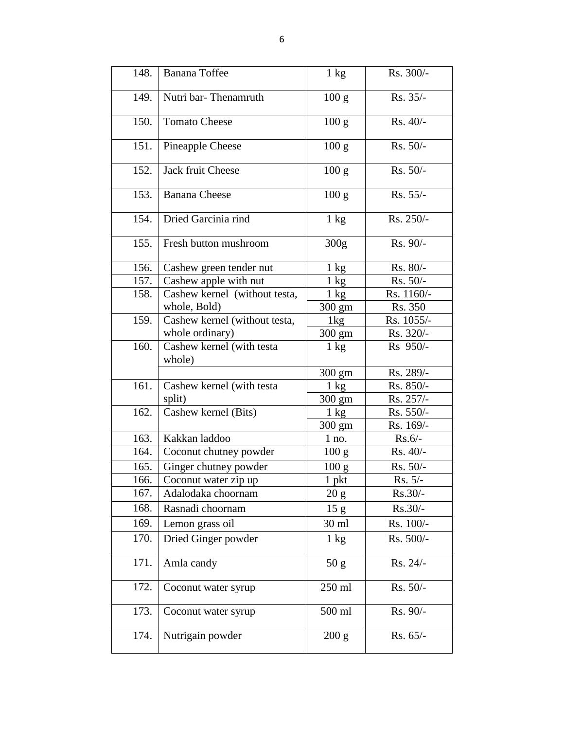| 148. | Banana Toffee                       | $1 \text{ kg}$   | Rs. 300/-  |
|------|-------------------------------------|------------------|------------|
| 149. | Nutri bar-Thenamruth                | 100 g            | Rs. 35/-   |
| 150. | <b>Tomato Cheese</b>                | 100 <sub>g</sub> | Rs. 40/-   |
| 151. | Pineapple Cheese                    | 100 <sub>g</sub> | Rs. 50/-   |
| 152. | Jack fruit Cheese                   | 100 <sub>g</sub> | Rs. 50/-   |
| 153. | <b>Banana</b> Cheese                | 100 <sub>g</sub> | Rs. 55/-   |
| 154. | Dried Garcinia rind                 | $1 \text{ kg}$   | Rs. 250/-  |
| 155. | Fresh button mushroom               | 300g             | Rs. 90/-   |
| 156. | Cashew green tender nut             | $1 \text{ kg}$   | Rs. 80/-   |
| 157. | Cashew apple with nut               | $1 \text{ kg}$   | $Rs. 50/-$ |
| 158. | Cashew kernel (without testa,       | $1 \text{ kg}$   | Rs. 1160/- |
|      | whole, Bold)                        | 300 gm           | Rs. 350    |
| 159. | Cashew kernel (without testa,       | 1kg              | Rs. 1055/- |
|      | whole ordinary)                     | $300 \text{ gm}$ | Rs. 320/-  |
| 160. | Cashew kernel (with testa<br>whole) | $1 \text{ kg}$   | Rs 950/-   |
|      |                                     | $300 \text{ gm}$ | Rs. 289/-  |
| 161. | Cashew kernel (with testa           | $1 \text{ kg}$   | Rs. 850/-  |
|      | split)                              | $300 \text{ gm}$ | Rs. 257/-  |
| 162. | Cashew kernel (Bits)                | $1 \text{ kg}$   | Rs. 550/-  |
|      |                                     | 300 gm           | Rs. 169/-  |
| 163. | Kakkan laddoo                       | $1$ no.          | $Rs.6/-$   |
| 164. | Coconut chutney powder              | 100 g            | Rs. 40/-   |
| 165. | Ginger chutney powder               | 100 <sub>g</sub> | Rs. 50/-   |
| 166. | Coconut water zip up                | $1$ pkt          | Rs. 5/-    |
| 167. | Adalodaka choornam                  | 20 g             | $Rs.30/-$  |
| 168. | Rasnadi choornam                    | 15 <sub>g</sub>  | $Rs.30/-$  |
| 169. | Lemon grass oil                     | 30 ml            | Rs. 100/-  |
| 170. | Dried Ginger powder                 | $1 \text{ kg}$   | Rs. 500/-  |
| 171. | Amla candy                          | 50 g             | Rs. 24/-   |
| 172. | Coconut water syrup                 | 250 ml           | Rs. 50/-   |
| 173. | Coconut water syrup                 | 500 ml           | Rs. 90/-   |
| 174. | Nutrigain powder                    | 200 g            | Rs. 65/-   |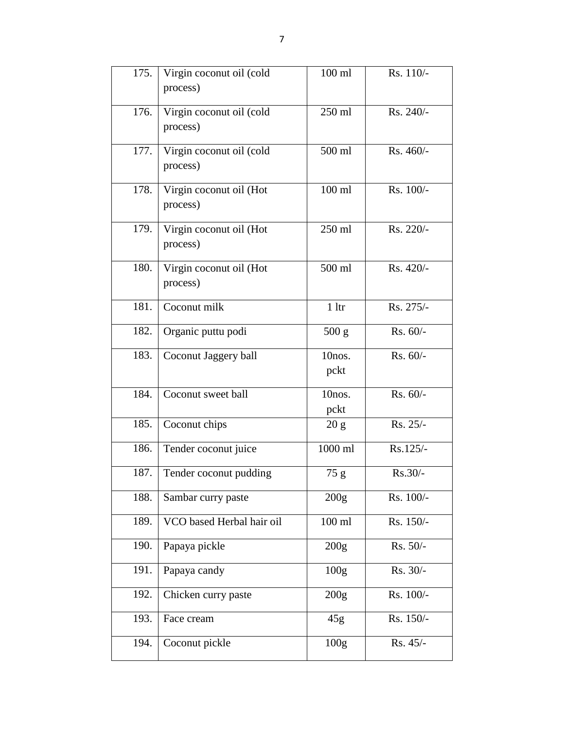| 175. | Virgin coconut oil (cold  | $100$ ml          | Rs. 110/- |
|------|---------------------------|-------------------|-----------|
|      | process)                  |                   |           |
| 176. | Virgin coconut oil (cold  | 250 ml            | Rs. 240/- |
|      | process)                  |                   |           |
| 177. | Virgin coconut oil (cold  | 500 ml            | Rs. 460/- |
|      | process)                  |                   |           |
| 178. | Virgin coconut oil (Hot   | $100$ ml          | Rs. 100/- |
|      | process)                  |                   |           |
| 179. | Virgin coconut oil (Hot   | 250 ml            | Rs. 220/- |
|      | process)                  |                   |           |
| 180. | Virgin coconut oil (Hot   | 500 ml            | Rs. 420/- |
|      | process)                  |                   |           |
| 181. | Coconut milk              | 1 <sup>1</sup>    | Rs. 275/- |
| 182. | Organic puttu podi        | 500 g             | Rs. 60/-  |
| 183. | Coconut Jaggery ball      | 10nos.            | Rs. 60/-  |
|      |                           | pckt              |           |
| 184. | Coconut sweet ball        | 10nos.            | Rs. 60/-  |
|      |                           | pckt              |           |
| 185. | Coconut chips             | 20 g              | Rs. 25/-  |
| 186. | Tender coconut juice      | $1000 \text{ ml}$ | Rs.125/-  |
| 187. | Tender coconut pudding    | 75g               | $Rs.30/-$ |
| 188. | Sambar curry paste        | 200 <sub>g</sub>  | Rs. 100/- |
| 189. | VCO based Herbal hair oil | $100$ ml          | Rs. 150/- |
| 190. | Papaya pickle             | 200 <sub>g</sub>  | Rs. 50/-  |
| 191. | Papaya candy              | 100 <sub>g</sub>  | Rs. 30/-  |
| 192. | Chicken curry paste       | 200 <sub>g</sub>  | Rs. 100/- |
| 193. | Face cream                | 45g               | Rs. 150/- |
| 194. | Coconut pickle            | 100 <sub>g</sub>  | Rs. 45/-  |